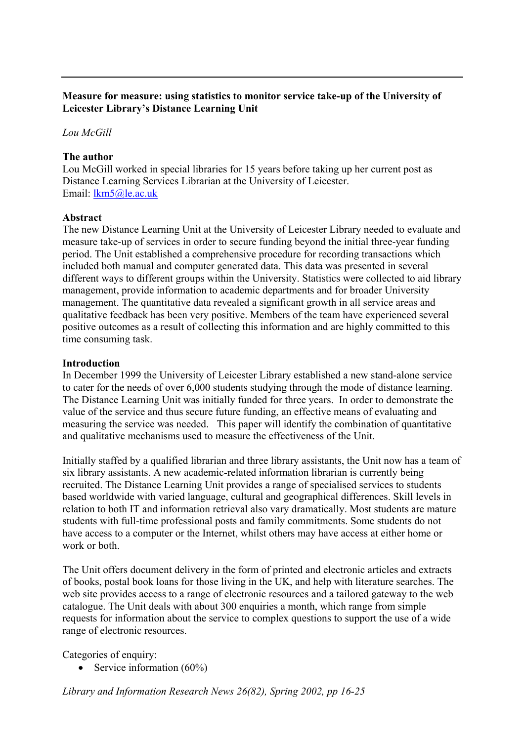## **Measure for measure: using statistics to monitor service take-up of the University of Leicester Library's Distance Learning Unit**

## *Lou McGill*

### **The author**

Lou McGill worked in special libraries for 15 years before taking up her current post as Distance Learning Services Librarian at the University of Leicester. Email: [lkm5@le.ac.uk](mailto:lkm5@le.ac.uk)

### **Abstract**

The new Distance Learning Unit at the University of Leicester Library needed to evaluate and measure take-up of services in order to secure funding beyond the initial three-year funding period. The Unit established a comprehensive procedure for recording transactions which included both manual and computer generated data. This data was presented in several different ways to different groups within the University. Statistics were collected to aid library management, provide information to academic departments and for broader University management. The quantitative data revealed a significant growth in all service areas and qualitative feedback has been very positive. Members of the team have experienced several positive outcomes as a result of collecting this information and are highly committed to this time consuming task.

### **Introduction**

In December 1999 the University of Leicester Library established a new stand-alone service to cater for the needs of over 6,000 students studying through the mode of distance learning. The Distance Learning Unit was initially funded for three years. In order to demonstrate the value of the service and thus secure future funding, an effective means of evaluating and measuring the service was needed. This paper will identify the combination of quantitative and qualitative mechanisms used to measure the effectiveness of the Unit.

Initially staffed by a qualified librarian and three library assistants, the Unit now has a team of six library assistants. A new academic-related information librarian is currently being recruited. The Distance Learning Unit provides a range of specialised services to students based worldwide with varied language, cultural and geographical differences. Skill levels in relation to both IT and information retrieval also vary dramatically. Most students are mature students with full-time professional posts and family commitments. Some students do not have access to a computer or the Internet, whilst others may have access at either home or work or both.

The Unit offers document delivery in the form of printed and electronic articles and extracts of books, postal book loans for those living in the UK, and help with literature searches. The web site provides access to a range of electronic resources and a tailored gateway to the web catalogue. The Unit deals with about 300 enquiries a month, which range from simple requests for information about the service to complex questions to support the use of a wide range of electronic resources.

Categories of enquiry:

• Service information (60%)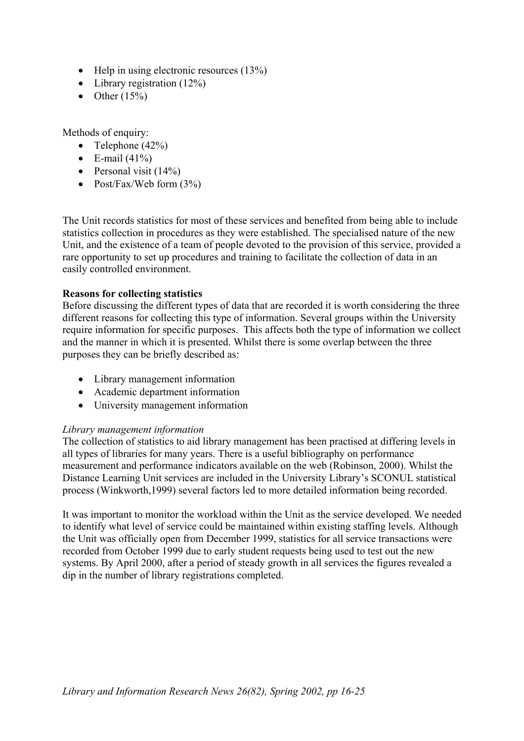- Help in using electronic resources (13%)
- Library registration (12%)
- Other  $(15\%)$

Methods of enquiry:

- Telephone  $(42\%)$
- $\bullet$  E-mail (41%)
- Personal visit  $(14%)$
- Post/Fax/Web form  $(3%)$

The Unit records statistics for most of these services and benefited from being able to include statistics collection in procedures as they were established. The specialised nature of the new Unit, and the existence of a team of people devoted to the provision of this service, provided a rare opportunity to set up procedures and training to facilitate the collection of data in an easily controlled environment.

# **Reasons for collecting statistics**

Before discussing the different types of data that are recorded it is worth considering the three different reasons for collecting this type of information. Several groups within the University require information for specific purposes. This affects both the type of information we collect and the manner in which it is presented. Whilst there is some overlap between the three purposes they can be briefly described as:

- Library management information
- Academic department information
- University management information

## *Library management information*

The collection of statistics to aid library management has been practised at differing levels in all types of libraries for many years. There is a useful bibliography on performance measurement and performance indicators available on the web (Robinson, 2000). Whilst the Distance Learning Unit services are included in the University Library's SCONUL statistical process (Winkworth,1999) several factors led to more detailed information being recorded.

It was important to monitor the workload within the Unit as the service developed. We needed to identify what level of service could be maintained within existing staffing levels. Although the Unit was officially open from December 1999, statistics for all service transactions were recorded from October 1999 due to early student requests being used to test out the new systems. By April 2000, after a period of steady growth in all services the figures revealed a dip in the number of library registrations completed.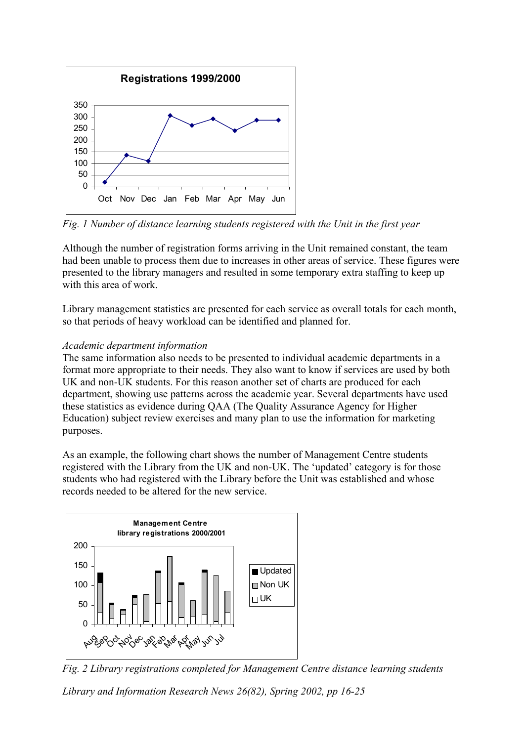

*Fig. 1 Number of distance learning students registered with the Unit in the first year* 

Although the number of registration forms arriving in the Unit remained constant, the team had been unable to process them due to increases in other areas of service. These figures were presented to the library managers and resulted in some temporary extra staffing to keep up with this area of work.

Library management statistics are presented for each service as overall totals for each month, so that periods of heavy workload can be identified and planned for.

# *Academic department information*

The same information also needs to be presented to individual academic departments in a format more appropriate to their needs. They also want to know if services are used by both UK and non-UK students. For this reason another set of charts are produced for each department, showing use patterns across the academic year. Several departments have used these statistics as evidence during QAA (The Quality Assurance Agency for Higher Education) subject review exercises and many plan to use the information for marketing purposes.

As an example, the following chart shows the number of Management Centre students registered with the Library from the UK and non-UK. The 'updated' category is for those students who had registered with the Library before the Unit was established and whose records needed to be altered for the new service.



*Fig. 2 Library registrations completed for Management Centre distance learning students*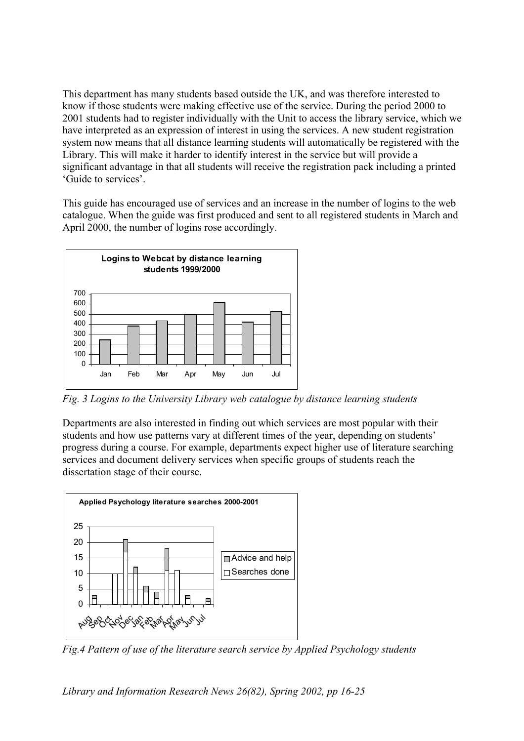This department has many students based outside the UK, and was therefore interested to know if those students were making effective use of the service. During the period 2000 to 2001 students had to register individually with the Unit to access the library service, which we have interpreted as an expression of interest in using the services. A new student registration system now means that all distance learning students will automatically be registered with the Library. This will make it harder to identify interest in the service but will provide a significant advantage in that all students will receive the registration pack including a printed 'Guide to services'.

This guide has encouraged use of services and an increase in the number of logins to the web catalogue. When the guide was first produced and sent to all registered students in March and April 2000, the number of logins rose accordingly.



*Fig. 3 Logins to the University Library web catalogue by distance learning students* 

Departments are also interested in finding out which services are most popular with their students and how use patterns vary at different times of the year, depending on students' progress during a course. For example, departments expect higher use of literature searching services and document delivery services when specific groups of students reach the dissertation stage of their course.



*Fig.4 Pattern of use of the literature search service by Applied Psychology students*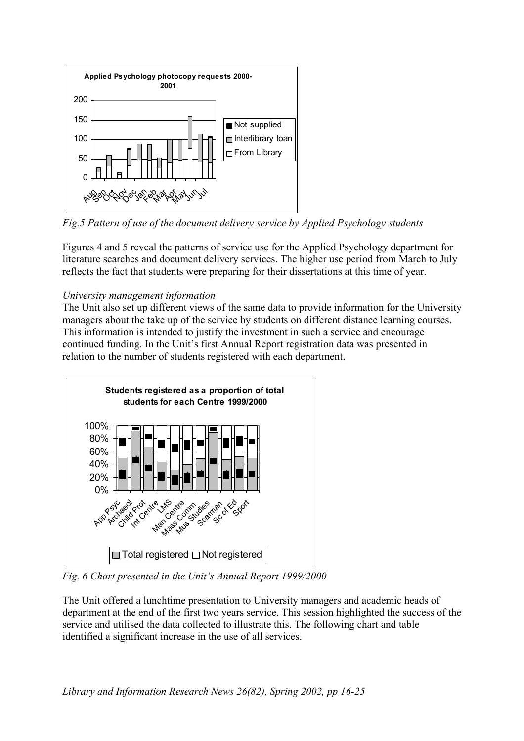

*Fig.5 Pattern of use of the document delivery service by Applied Psychology students* 

Figures 4 and 5 reveal the patterns of service use for the Applied Psychology department for literature searches and document delivery services. The higher use period from March to July reflects the fact that students were preparing for their dissertations at this time of year.

## *University management information*

The Unit also set up different views of the same data to provide information for the University managers about the take up of the service by students on different distance learning courses. This information is intended to justify the investment in such a service and encourage continued funding. In the Unit's first Annual Report registration data was presented in relation to the number of students registered with each department.



*Fig. 6 Chart presented in the Unit's Annual Report 1999/2000* 

The Unit offered a lunchtime presentation to University managers and academic heads of department at the end of the first two years service. This session highlighted the success of the service and utilised the data collected to illustrate this. The following chart and table identified a significant increase in the use of all services.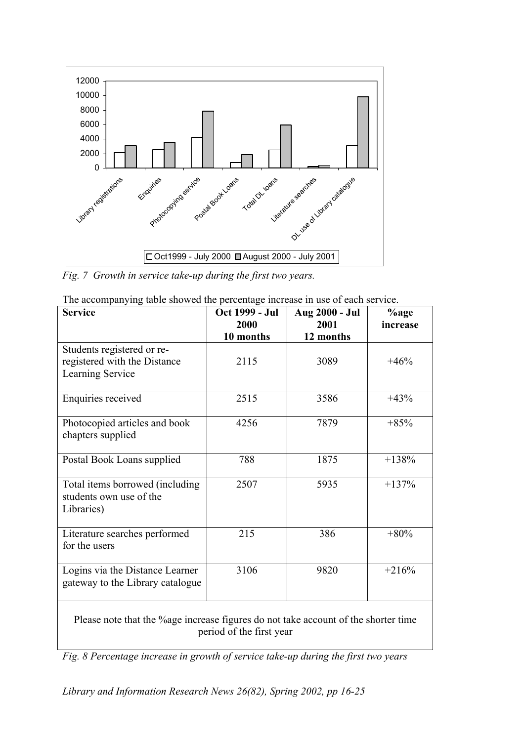

*Fig. 7 Growth in service take-up during the first two years.* 

| <b>Service</b>                                                                                                 | Oct 1999 - Jul<br>2000 | Aug 2000 - Jul<br>2001 | $%$ age<br>increase |  |  |
|----------------------------------------------------------------------------------------------------------------|------------------------|------------------------|---------------------|--|--|
|                                                                                                                | 10 months              | 12 months              |                     |  |  |
| Students registered or re-<br>registered with the Distance<br>Learning Service                                 | 2115                   | 3089                   | $+46%$              |  |  |
| Enquiries received                                                                                             | 2515                   | 3586                   | $+43%$              |  |  |
| Photocopied articles and book<br>chapters supplied                                                             | 4256                   | 7879                   | $+85%$              |  |  |
| Postal Book Loans supplied                                                                                     | 788                    | 1875                   | $+138%$             |  |  |
| Total items borrowed (including<br>students own use of the<br>Libraries)                                       | 2507                   | 5935                   | $+137%$             |  |  |
| Literature searches performed<br>for the users                                                                 | 215                    | 386                    | $+80%$              |  |  |
| Logins via the Distance Learner<br>gateway to the Library catalogue                                            | 3106                   | 9820                   | $+216%$             |  |  |
| Please note that the %age increase figures do not take account of the shorter time<br>period of the first year |                        |                        |                     |  |  |

| The accompanying table showed the percentage increase in use of each service. |  |  |  |
|-------------------------------------------------------------------------------|--|--|--|
|                                                                               |  |  |  |
|                                                                               |  |  |  |

*Fig. 8 Percentage increase in growth of service take-up during the first two years*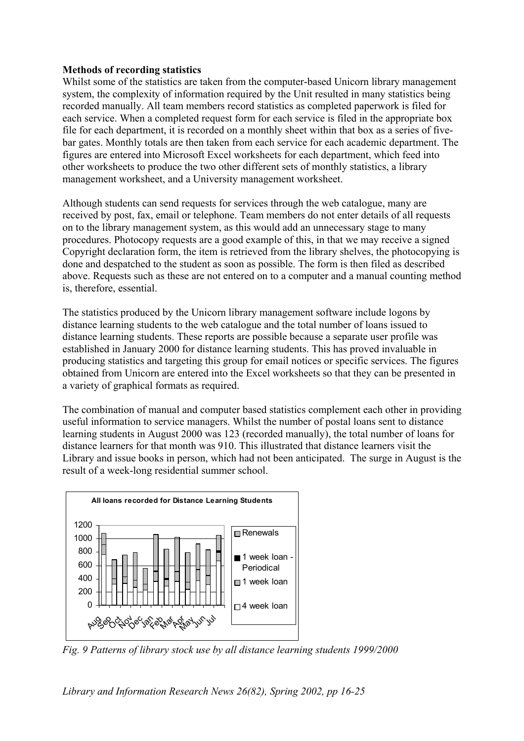### **Methods of recording statistics**

Whilst some of the statistics are taken from the computer-based Unicorn library management system, the complexity of information required by the Unit resulted in many statistics being recorded manually. All team members record statistics as completed paperwork is filed for each service. When a completed request form for each service is filed in the appropriate box file for each department, it is recorded on a monthly sheet within that box as a series of fivebar gates. Monthly totals are then taken from each service for each academic department. The figures are entered into Microsoft Excel worksheets for each department, which feed into other worksheets to produce the two other different sets of monthly statistics, a library management worksheet, and a University management worksheet.

Although students can send requests for services through the web catalogue, many are received by post, fax, email or telephone. Team members do not enter details of all requests on to the library management system, as this would add an unnecessary stage to many procedures. Photocopy requests are a good example of this, in that we may receive a signed Copyright declaration form, the item is retrieved from the library shelves, the photocopying is done and despatched to the student as soon as possible. The form is then filed as described above. Requests such as these are not entered on to a computer and a manual counting method is, therefore, essential.

The statistics produced by the Unicorn library management software include logons by distance learning students to the web catalogue and the total number of loans issued to distance learning students. These reports are possible because a separate user profile was established in January 2000 for distance learning students. This has proved invaluable in producing statistics and targeting this group for email notices or specific services. The figures obtained from Unicorn are entered into the Excel worksheets so that they can be presented in a variety of graphical formats as required.

The combination of manual and computer based statistics complement each other in providing useful information to service managers. Whilst the number of postal loans sent to distance learning students in August 2000 was 123 (recorded manually), the total number of loans for distance learners for that month was 910. This illustrated that distance learners visit the Library and issue books in person, which had not been anticipated. The surge in August is the result of a week-long residential summer school.



*Fig. 9 Patterns of library stock use by all distance learning students 1999/2000*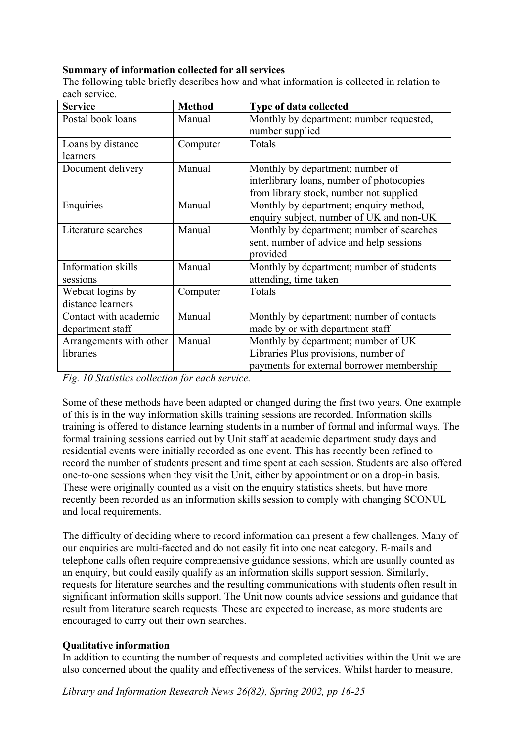## **Summary of information collected for all services**

The following table briefly describes how and what information is collected in relation to each service.

| <b>Service</b>          | <b>Method</b> | Type of data collected                    |
|-------------------------|---------------|-------------------------------------------|
| Postal book loans       | Manual        | Monthly by department: number requested,  |
|                         |               | number supplied                           |
| Loans by distance       | Computer      | Totals                                    |
| learners                |               |                                           |
| Document delivery       | Manual        | Monthly by department; number of          |
|                         |               | interlibrary loans, number of photocopies |
|                         |               | from library stock, number not supplied   |
| Enquiries               | Manual        | Monthly by department; enquiry method,    |
|                         |               | enquiry subject, number of UK and non-UK  |
| Literature searches     | Manual        | Monthly by department; number of searches |
|                         |               | sent, number of advice and help sessions  |
|                         |               | provided                                  |
| Information skills      | Manual        | Monthly by department; number of students |
| sessions                |               | attending, time taken                     |
| Webcat logins by        | Computer      | Totals                                    |
| distance learners       |               |                                           |
| Contact with academic   | Manual        | Monthly by department; number of contacts |
| department staff        |               | made by or with department staff          |
| Arrangements with other | Manual        | Monthly by department; number of UK       |
| libraries               |               | Libraries Plus provisions, number of      |
|                         |               | payments for external borrower membership |

*Fig. 10 Statistics collection for each service.* 

Some of these methods have been adapted or changed during the first two years. One example of this is in the way information skills training sessions are recorded. Information skills training is offered to distance learning students in a number of formal and informal ways. The formal training sessions carried out by Unit staff at academic department study days and residential events were initially recorded as one event. This has recently been refined to record the number of students present and time spent at each session. Students are also offered one-to-one sessions when they visit the Unit, either by appointment or on a drop-in basis. These were originally counted as a visit on the enquiry statistics sheets, but have more recently been recorded as an information skills session to comply with changing SCONUL and local requirements.

The difficulty of deciding where to record information can present a few challenges. Many of our enquiries are multi-faceted and do not easily fit into one neat category. E-mails and telephone calls often require comprehensive guidance sessions, which are usually counted as an enquiry, but could easily qualify as an information skills support session. Similarly, requests for literature searches and the resulting communications with students often result in significant information skills support. The Unit now counts advice sessions and guidance that result from literature search requests. These are expected to increase, as more students are encouraged to carry out their own searches.

## **Qualitative information**

In addition to counting the number of requests and completed activities within the Unit we are also concerned about the quality and effectiveness of the services. Whilst harder to measure,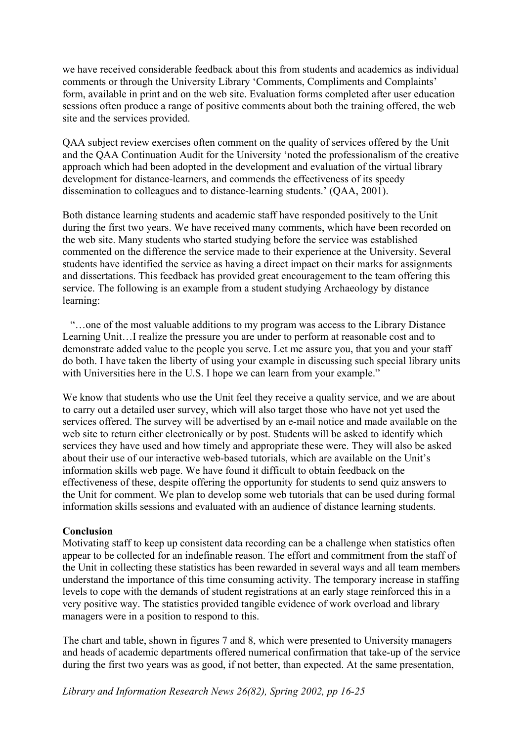we have received considerable feedback about this from students and academics as individual comments or through the University Library 'Comments, Compliments and Complaints' form, available in print and on the web site. Evaluation forms completed after user education sessions often produce a range of positive comments about both the training offered, the web site and the services provided.

QAA subject review exercises often comment on the quality of services offered by the Unit and the QAA Continuation Audit for the University 'noted the professionalism of the creative approach which had been adopted in the development and evaluation of the virtual library development for distance-learners, and commends the effectiveness of its speedy dissemination to colleagues and to distance-learning students.' (QAA, 2001).

Both distance learning students and academic staff have responded positively to the Unit during the first two years. We have received many comments, which have been recorded on the web site. Many students who started studying before the service was established commented on the difference the service made to their experience at the University. Several students have identified the service as having a direct impact on their marks for assignments and dissertations. This feedback has provided great encouragement to the team offering this service. The following is an example from a student studying Archaeology by distance learning:

 "…one of the most valuable additions to my program was access to the Library Distance Learning Unit…I realize the pressure you are under to perform at reasonable cost and to demonstrate added value to the people you serve. Let me assure you, that you and your staff do both. I have taken the liberty of using your example in discussing such special library units with Universities here in the U.S. I hope we can learn from your example."

We know that students who use the Unit feel they receive a quality service, and we are about to carry out a detailed user survey, which will also target those who have not yet used the services offered. The survey will be advertised by an e-mail notice and made available on the web site to return either electronically or by post. Students will be asked to identify which services they have used and how timely and appropriate these were. They will also be asked about their use of our interactive web-based tutorials, which are available on the Unit's information skills web page. We have found it difficult to obtain feedback on the effectiveness of these, despite offering the opportunity for students to send quiz answers to the Unit for comment. We plan to develop some web tutorials that can be used during formal information skills sessions and evaluated with an audience of distance learning students.

#### **Conclusion**

Motivating staff to keep up consistent data recording can be a challenge when statistics often appear to be collected for an indefinable reason. The effort and commitment from the staff of the Unit in collecting these statistics has been rewarded in several ways and all team members understand the importance of this time consuming activity. The temporary increase in staffing levels to cope with the demands of student registrations at an early stage reinforced this in a very positive way. The statistics provided tangible evidence of work overload and library managers were in a position to respond to this.

The chart and table, shown in figures 7 and 8, which were presented to University managers and heads of academic departments offered numerical confirmation that take-up of the service during the first two years was as good, if not better, than expected. At the same presentation,